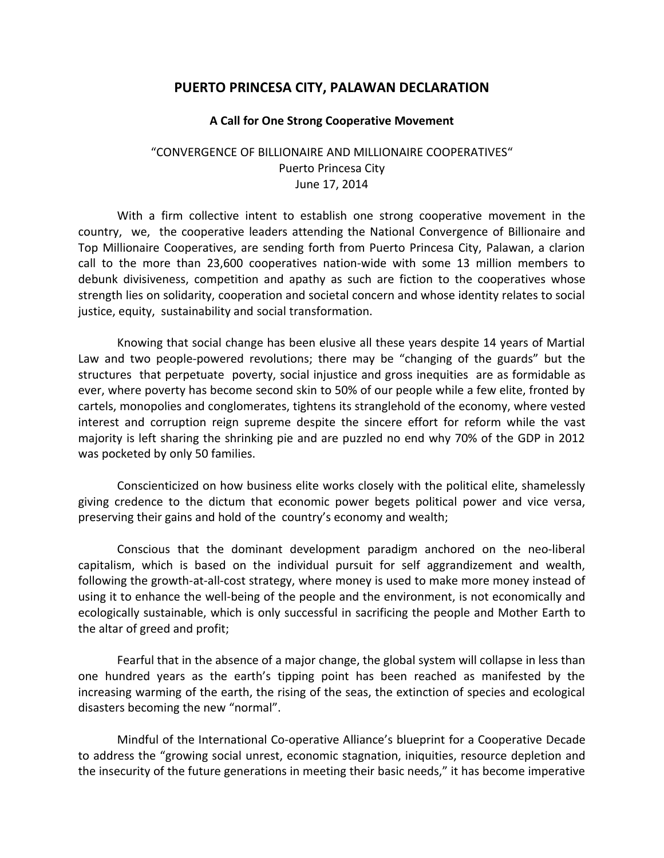## **PUERTO PRINCESA CITY, PALAWAN DECLARATION**

## **A Call for One Strong Cooperative Movement**

## "CONVERGENCE OF BILLIONAIRE AND MILLIONAIRE COOPERATIVES" Puerto Princesa City June 17, 2014

With a firm collective intent to establish one strong cooperative movement in the country, we, the cooperative leaders attending the National Convergence of Billionaire and Top Millionaire Cooperatives, are sending forth from Puerto Princesa City, Palawan, a clarion call to the more than 23,600 cooperatives nation-wide with some 13 million members to debunk divisiveness, competition and apathy as such are fiction to the cooperatives whose strength lies on solidarity, cooperation and societal concern and whose identity relates to social justice, equity, sustainability and social transformation.

Knowing that social change has been elusive all these years despite 14 years of Martial Law and two people-powered revolutions; there may be "changing of the guards" but the structures that perpetuate poverty, social injustice and gross inequities are as formidable as ever, where poverty has become second skin to 50% of our people while a few elite, fronted by cartels, monopolies and conglomerates, tightens its stranglehold of the economy, where vested interest and corruption reign supreme despite the sincere effort for reform while the vast majority is left sharing the shrinking pie and are puzzled no end why 70% of the GDP in 2012 was pocketed by only 50 families.

Conscienticized on how business elite works closely with the political elite, shamelessly giving credence to the dictum that economic power begets political power and vice versa, preserving their gains and hold of the country's economy and wealth;

Conscious that the dominant development paradigm anchored on the neo-liberal capitalism, which is based on the individual pursuit for self aggrandizement and wealth, following the growth-at-all-cost strategy, where money is used to make more money instead of using it to enhance the well-being of the people and the environment, is not economically and ecologically sustainable, which is only successful in sacrificing the people and Mother Earth to the altar of greed and profit;

Fearful that in the absence of a major change, the global system will collapse in less than one hundred years as the earth's tipping point has been reached as manifested by the increasing warming of the earth, the rising of the seas, the extinction of species and ecological disasters becoming the new "normal".

Mindful of the International Co-operative Alliance's blueprint for a Cooperative Decade to address the "growing social unrest, economic stagnation, iniquities, resource depletion and the insecurity of the future generations in meeting their basic needs," it has become imperative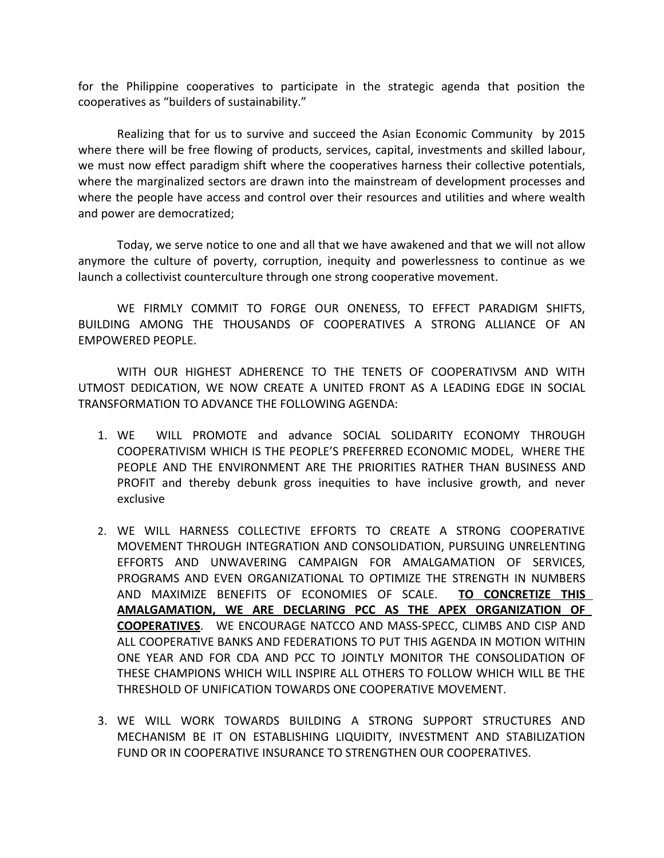for the Philippine cooperatives to participate in the strategic agenda that position the cooperatives as "builders of sustainability."

Realizing that for us to survive and succeed the Asian Economic Community by 2015 where there will be free flowing of products, services, capital, investments and skilled labour, we must now effect paradigm shift where the cooperatives harness their collective potentials, where the marginalized sectors are drawn into the mainstream of development processes and where the people have access and control over their resources and utilities and where wealth and power are democratized;

Today, we serve notice to one and all that we have awakened and that we will not allow anymore the culture of poverty, corruption, inequity and powerlessness to continue as we launch a collectivist counterculture through one strong cooperative movement.

WE FIRMLY COMMIT TO FORGE OUR ONENESS, TO EFFECT PARADIGM SHIFTS, BUILDING AMONG THE THOUSANDS OF COOPERATIVES A STRONG ALLIANCE OF AN EMPOWERED PEOPLE.

WITH OUR HIGHEST ADHERENCE TO THE TENETS OF COOPERATIVSM AND WITH UTMOST DEDICATION, WE NOW CREATE A UNITED FRONT AS A LEADING EDGE IN SOCIAL TRANSFORMATION TO ADVANCE THE FOLLOWING AGENDA:

- 1. WE WILL PROMOTE and advance SOCIAL SOLIDARITY ECONOMY THROUGH COOPERATIVISM WHICH IS THE PEOPLE'S PREFERRED ECONOMIC MODEL, WHERE THE PEOPLE AND THE ENVIRONMENT ARE THE PRIORITIES RATHER THAN BUSINESS AND PROFIT and thereby debunk gross inequities to have inclusive growth, and never exclusive
- 2. WE WILL HARNESS COLLECTIVE EFFORTS TO CREATE A STRONG COOPERATIVE MOVEMENT THROUGH INTEGRATION AND CONSOLIDATION, PURSUING UNRELENTING EFFORTS AND UNWAVERING CAMPAIGN FOR AMALGAMATION OF SERVICES, PROGRAMS AND EVEN ORGANIZATIONAL TO OPTIMIZE THE STRENGTH IN NUMBERS AND MAXIMIZE BENEFITS OF ECONOMIES OF SCALE. **TO CONCRETIZE THIS AMALGAMATION, WE ARE DECLARING PCC AS THE APEX ORGANIZATION OF COOPERATIVES**. WE ENCOURAGE NATCCO AND MASS-SPECC, CLIMBS AND CISP AND ALL COOPERATIVE BANKS AND FEDERATIONS TO PUT THIS AGENDA IN MOTION WITHIN ONE YEAR AND FOR CDA AND PCC TO JOINTLY MONITOR THE CONSOLIDATION OF THESE CHAMPIONS WHICH WILL INSPIRE ALL OTHERS TO FOLLOW WHICH WILL BE THE THRESHOLD OF UNIFICATION TOWARDS ONE COOPERATIVE MOVEMENT.
- 3. WE WILL WORK TOWARDS BUILDING A STRONG SUPPORT STRUCTURES AND MECHANISM BE IT ON ESTABLISHING LIQUIDITY, INVESTMENT AND STABILIZATION FUND OR IN COOPERATIVE INSURANCE TO STRENGTHEN OUR COOPERATIVES.